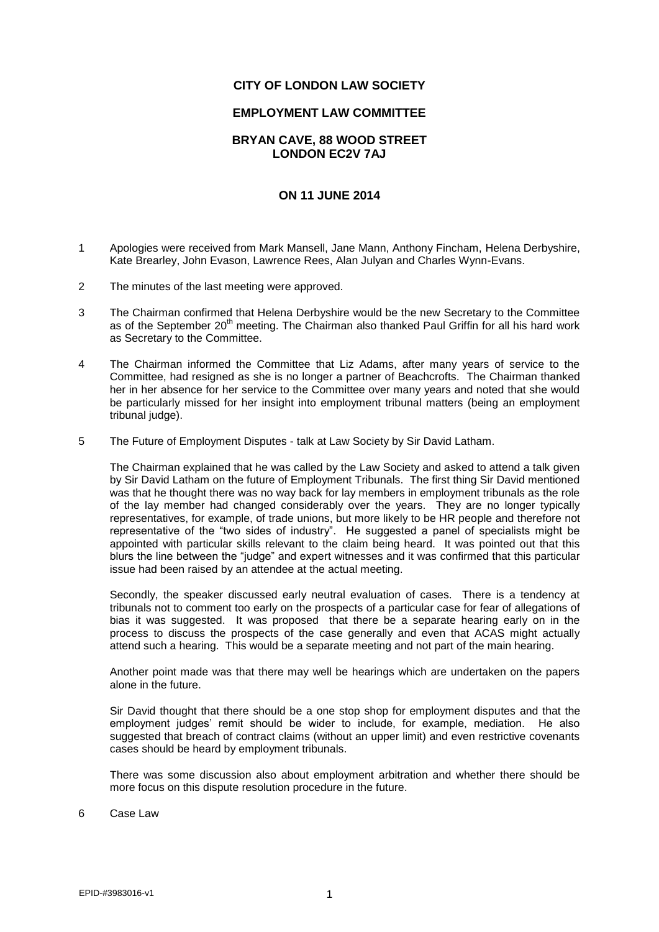## **CITY OF LONDON LAW SOCIETY**

## **EMPLOYMENT LAW COMMITTEE**

## **BRYAN CAVE, 88 WOOD STREET LONDON EC2V 7AJ**

## **ON 11 JUNE 2014**

- 1 Apologies were received from Mark Mansell, Jane Mann, Anthony Fincham, Helena Derbyshire, Kate Brearley, John Evason, Lawrence Rees, Alan Julyan and Charles Wynn-Evans.
- 2 The minutes of the last meeting were approved.
- 3 The Chairman confirmed that Helena Derbyshire would be the new Secretary to the Committee as of the September 20<sup>th</sup> meeting. The Chairman also thanked Paul Griffin for all his hard work as Secretary to the Committee.
- 4 The Chairman informed the Committee that Liz Adams, after many years of service to the Committee, had resigned as she is no longer a partner of Beachcrofts. The Chairman thanked her in her absence for her service to the Committee over many years and noted that she would be particularly missed for her insight into employment tribunal matters (being an employment tribunal judge).
- 5 The Future of Employment Disputes talk at Law Society by Sir David Latham.

The Chairman explained that he was called by the Law Society and asked to attend a talk given by Sir David Latham on the future of Employment Tribunals. The first thing Sir David mentioned was that he thought there was no way back for lay members in employment tribunals as the role of the lay member had changed considerably over the years. They are no longer typically representatives, for example, of trade unions, but more likely to be HR people and therefore not representative of the "two sides of industry". He suggested a panel of specialists might be appointed with particular skills relevant to the claim being heard. It was pointed out that this blurs the line between the "judge" and expert witnesses and it was confirmed that this particular issue had been raised by an attendee at the actual meeting.

Secondly, the speaker discussed early neutral evaluation of cases. There is a tendency at tribunals not to comment too early on the prospects of a particular case for fear of allegations of bias it was suggested. It was proposed that there be a separate hearing early on in the process to discuss the prospects of the case generally and even that ACAS might actually attend such a hearing. This would be a separate meeting and not part of the main hearing.

Another point made was that there may well be hearings which are undertaken on the papers alone in the future.

Sir David thought that there should be a one stop shop for employment disputes and that the employment judges' remit should be wider to include, for example, mediation. He also suggested that breach of contract claims (without an upper limit) and even restrictive covenants cases should be heard by employment tribunals.

There was some discussion also about employment arbitration and whether there should be more focus on this dispute resolution procedure in the future.

6 Case Law